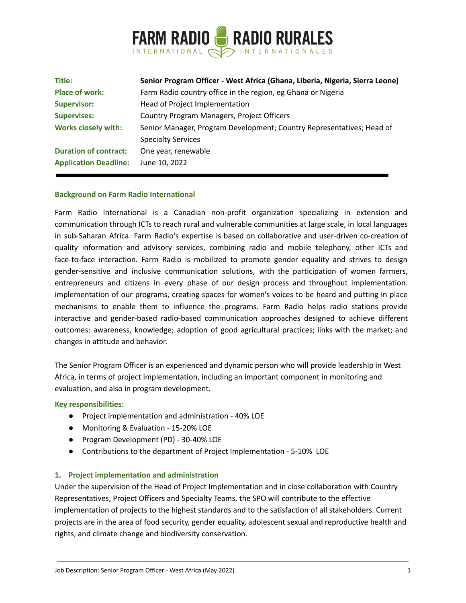

| Title:                       | Senior Program Officer - West Africa (Ghana, Liberia, Nigeria, Sierra Leone) |
|------------------------------|------------------------------------------------------------------------------|
| <b>Place of work:</b>        | Farm Radio country office in the region, eg Ghana or Nigeria                 |
| <b>Supervisor:</b>           | Head of Project Implementation                                               |
| <b>Supervises:</b>           | Country Program Managers, Project Officers                                   |
| <b>Works closely with:</b>   | Senior Manager, Program Development; Country Representatives; Head of        |
|                              | <b>Specialty Services</b>                                                    |
| <b>Duration of contract:</b> | One year, renewable                                                          |
| <b>Application Deadline:</b> | June 10, 2022                                                                |

### **Background on Farm Radio International**

Farm Radio International is a Canadian non-profit organization specializing in extension and communication through ICTs to reach rural and vulnerable communities at large scale, in local languages in sub-Saharan Africa. Farm Radio's expertise is based on collaborative and user-driven co-creation of quality information and advisory services, combining radio and mobile telephony, other ICTs and face-to-face interaction. Farm Radio is mobilized to promote gender equality and strives to design gender-sensitive and inclusive communication solutions, with the participation of women farmers, entrepreneurs and citizens in every phase of our design process and throughout implementation. implementation of our programs, creating spaces for women's voices to be heard and putting in place mechanisms to enable them to influence the programs. Farm Radio helps radio stations provide interactive and gender-based radio-based communication approaches designed to achieve different outcomes: awareness, knowledge; adoption of good agricultural practices; links with the market; and changes in attitude and behavior.

The Senior Program Officer is an experienced and dynamic person who will provide leadership in West Africa, in terms of project implementation, including an important component in monitoring and evaluation, and also in program development.

#### **Key responsibilities:**

- Project implementation and administration 40% LOE
- Monitoring & Evaluation 15-20% LOE
- Program Development (PD) 30-40% LOE
- Contributions to the department of Project Implementation 5-10% LOE

#### **1. Project implementation and administration**

Under the supervision of the Head of Project Implementation and in close collaboration with Country Representatives, Project Officers and Specialty Teams, the SPO will contribute to the effective implementation of projects to the highest standards and to the satisfaction of all stakeholders. Current projects are in the area of food security, gender equality, adolescent sexual and reproductive health and rights, and climate change and biodiversity conservation.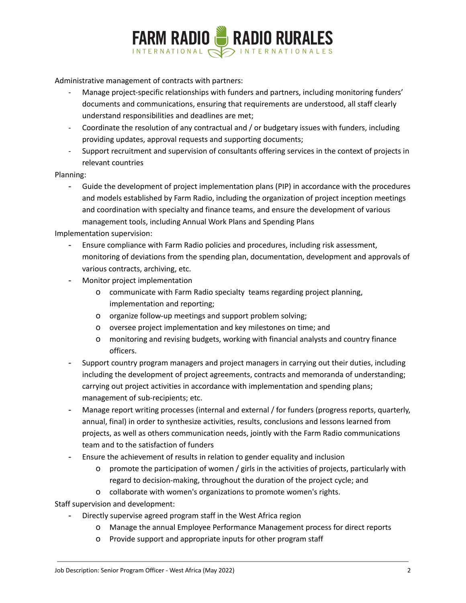

Administrative management of contracts with partners:

- Manage project-specific relationships with funders and partners, including monitoring funders' documents and communications, ensuring that requirements are understood, all staff clearly understand responsibilities and deadlines are met;
- Coordinate the resolution of any contractual and / or budgetary issues with funders, including providing updates, approval requests and supporting documents;
- Support recruitment and supervision of consultants offering services in the context of projects in relevant countries

### Planning:

- Guide the development of project implementation plans (PIP) in accordance with the procedures and models established by Farm Radio, including the organization of project inception meetings and coordination with specialty and finance teams, and ensure the development of various management tools, including Annual Work Plans and Spending Plans

## Implementation supervision:

- Ensure compliance with Farm Radio policies and procedures, including risk assessment, monitoring of deviations from the spending plan, documentation, development and approvals of various contracts, archiving, etc.
- Monitor project implementation
	- o communicate with Farm Radio specialty teams regarding project planning, implementation and reporting;
	- o organize follow-up meetings and support problem solving;
	- o oversee project implementation and key milestones on time; and
	- o monitoring and revising budgets, working with financial analysts and country finance officers.
- Support country program managers and project managers in carrying out their duties, including including the development of project agreements, contracts and memoranda of understanding; carrying out project activities in accordance with implementation and spending plans; management of sub-recipients; etc.
- Manage report writing processes (internal and external / for funders (progress reports, quarterly, annual, final) in order to synthesize activities, results, conclusions and lessons learned from projects, as well as others communication needs, jointly with the Farm Radio communications team and to the satisfaction of funders
- Ensure the achievement of results in relation to gender equality and inclusion
	- o promote the participation of women / girls in the activities of projects, particularly with regard to decision-making, throughout the duration of the project cycle; and
	- o collaborate with women's organizations to promote women's rights.

Staff supervision and development:

- Directly supervise agreed program staff in the West Africa region
	- o Manage the annual Employee Performance Management process for direct reports
	- o Provide support and appropriate inputs for other program staff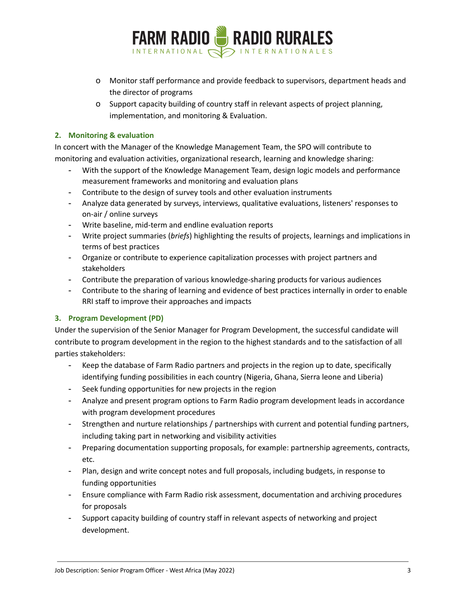

- o Monitor staff performance and provide feedback to supervisors, department heads and the director of programs
- o Support capacity building of country staff in relevant aspects of project planning, implementation, and monitoring & Evaluation.

## **2. Monitoring & evaluation**

In concert with the Manager of the Knowledge Management Team, the SPO will contribute to monitoring and evaluation activities, organizational research, learning and knowledge sharing:

- With the support of the Knowledge Management Team, design logic models and performance measurement frameworks and monitoring and evaluation plans
- Contribute to the design of survey tools and other evaluation instruments
- Analyze data generated by surveys, interviews, qualitative evaluations, listeners' responses to on-air / online surveys
- Write baseline, mid-term and endline evaluation reports
- Write project summaries (*briefs*) highlighting the results of projects, learnings and implications in terms of best practices
- Organize or contribute to experience capitalization processes with project partners and stakeholders
- Contribute the preparation of various knowledge-sharing products for various audiences
- Contribute to the sharing of learning and evidence of best practices internally in order to enable RRI staff to improve their approaches and impacts

# **3. Program Development (PD)**

Under the supervision of the Senior Manager for Program Development, the successful candidate will contribute to program development in the region to the highest standards and to the satisfaction of all parties stakeholders:

- Keep the database of Farm Radio partners and projects in the region up to date, specifically identifying funding possibilities in each country (Nigeria, Ghana, Sierra leone and Liberia)
- Seek funding opportunities for new projects in the region
- Analyze and present program options to Farm Radio program development leads in accordance with program development procedures
- Strengthen and nurture relationships / partnerships with current and potential funding partners, including taking part in networking and visibility activities
- Preparing documentation supporting proposals, for example: partnership agreements, contracts, etc.
- Plan, design and write concept notes and full proposals, including budgets, in response to funding opportunities
- Ensure compliance with Farm Radio risk assessment, documentation and archiving procedures for proposals
- Support capacity building of country staff in relevant aspects of networking and project development.